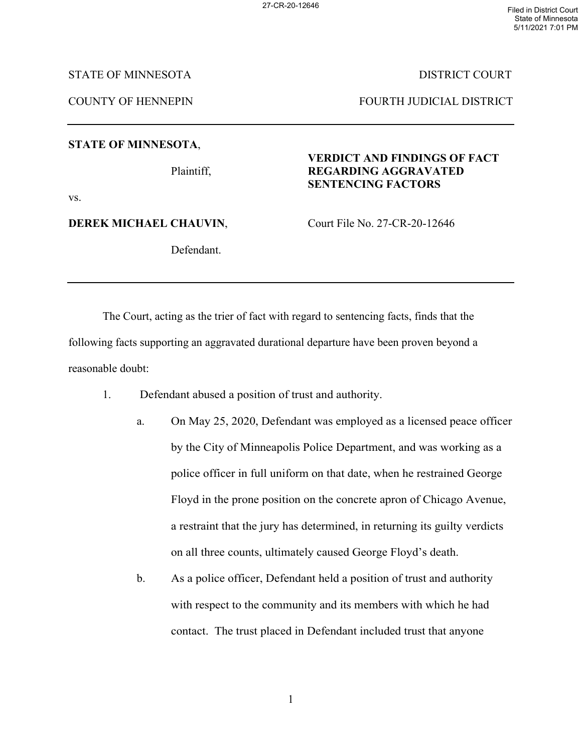STATE OF MINNESOTA DISTRICT COURT

COUNTY OF HENNEPIN FOURTH JUDICIAL DISTRICT

**STATE OF MINNESOTA**,

## **VERDICT AND FINDINGS OF FACT** Plaintiff, **REGARDING AGGRAVATED SENTENCING FACTORS**

vs.

**DEREK MICHAEL CHAUVIN, Court File No. 27-CR-20-12646** 

Defendant.

The Court, acting as the trier of fact with regard to sentencing facts, finds that the following facts supporting an aggravated durational departure have been proven beyond a

reasonable doubt:

- 1. Defendant abused a position of trust and authority.
	- a. On May 25, 2020, Defendant was employed as a licensed peace officer by the City of Minneapolis Police Department, and was working as a police officer in full uniform on that date, when he restrained George Floyd in the prone position on the concrete apron of Chicago Avenue, a restraint that the jury has determined, in returning its guilty verdicts on all three counts, ultimately caused George Floyd's death.
	- b. As a police officer, Defendant held a position of trust and authority with respect to the community and its members with which he had contact. The trust placed in Defendant included trust that anyone

1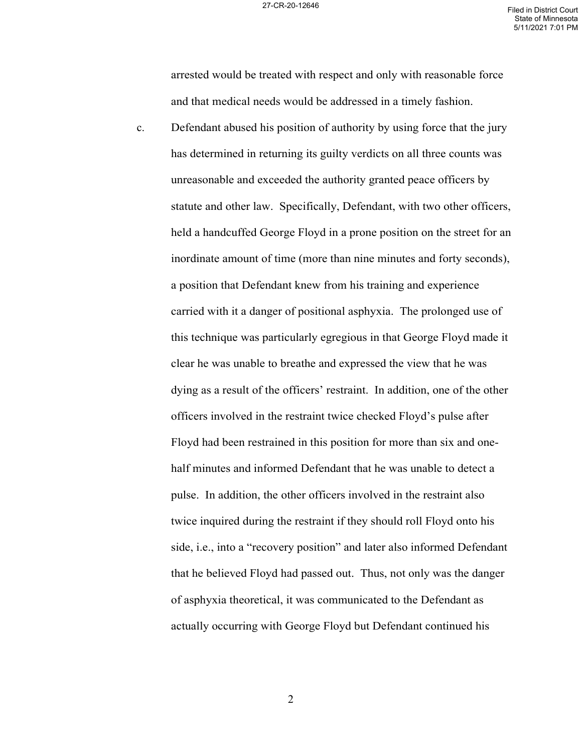arrested would be treated with respect and only with reasonable force and that medical needs would be addressed in a timely fashion.

c. Defendant abused his position of authority by using force that the jury has determined in returning its guilty verdicts on all three counts was unreasonable and exceeded the authority granted peace officers by statute and other law. Specifically, Defendant, with two other officers, held a handcuffed George Floyd in a prone position on the street for an inordinate amount of time (more than nine minutes and forty seconds), a position that Defendant knew from his training and experience carried with it a danger of positional asphyxia. The prolonged use of this technique was particularly egregious in that George Floyd made it clear he was unable to breathe and expressed the view that he was dying as a result of the officers' restraint. In addition, one of the other officers involved in the restraint twice checked Floyd's pulse after Floyd had been restrained in this position for more than six and onehalf minutes and informed Defendant that he was unable to detect a pulse. In addition, the other officers involved in the restraint also twice inquired during the restraint if they should roll Floyd onto his side, i.e., into a "recovery position" and later also informed Defendant that he believed Floyd had passed out. Thus, not only was the danger of asphyxia theoretical, it was communicated to the Defendant as actually occurring with George Floyd but Defendant continued his

2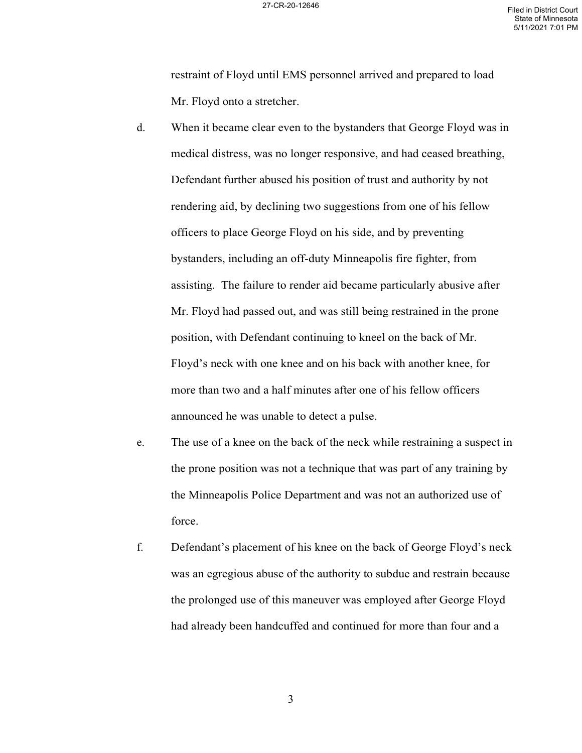restraint of Floyd until EMS personnel arrived and prepared to load Mr. Floyd onto a stretcher.

- d. When it became clear even to the bystanders that George Floyd was in medical distress, was no longer responsive, and had ceased breathing, Defendant further abused his position of trust and authority by not rendering aid, by declining two suggestions from one of his fellow officers to place George Floyd on his side, and by preventing bystanders, including an off-duty Minneapolis fire fighter, from assisting. The failure to render aid became particularly abusive after Mr. Floyd had passed out, and was still being restrained in the prone position, with Defendant continuing to kneel on the back of Mr. Floyd's neck with one knee and on his back with another knee, for more than two and a half minutes after one of his fellow officers announced he was unable to detect a pulse.
- e. The use of a knee on the back of the neck while restraining a suspect in the prone position was not a technique that was part of any training by the Minneapolis Police Department and was not an authorized use of force.
- f. Defendant's placement of his knee on the back of George Floyd's neck was an egregious abuse of the authority to subdue and restrain because the prolonged use of this maneuver was employed after George Floyd had already been handcuffed and continued for more than four and a

3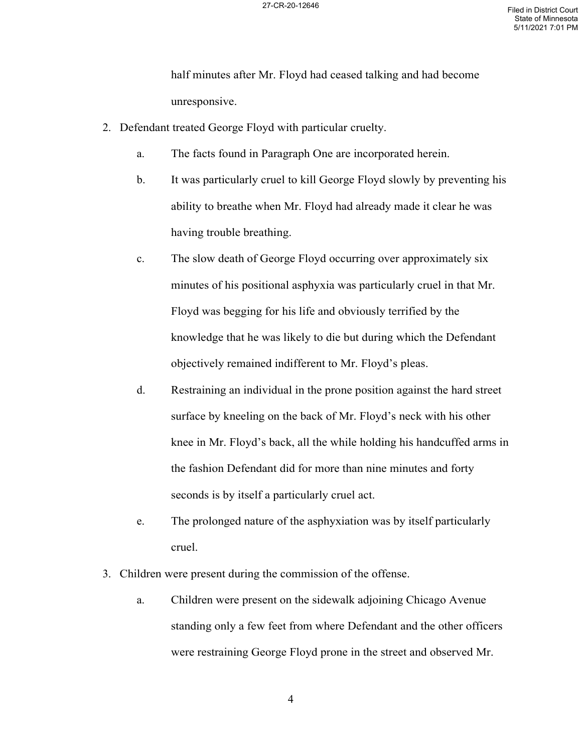half minutes after Mr. Floyd had ceased talking and had become unresponsive.

- 2. Defendant treated George Floyd with particular cruelty.
	- a. The facts found in Paragraph One are incorporated herein.
	- b. It was particularly cruel to kill George Floyd slowly by preventing his ability to breathe when Mr. Floyd had already made it clear he was having trouble breathing.
	- c. The slow death of George Floyd occurring over approximately six minutes of his positional asphyxia was particularly cruel in that Mr. Floyd was begging for his life and obviously terrified by the knowledge that he was likely to die but during which the Defendant objectively remained indifferent to Mr. Floyd's pleas.
	- d. Restraining an individual in the prone position against the hard street surface by kneeling on the back of Mr. Floyd's neck with his other knee in Mr. Floyd's back, all the while holding his handcuffed arms in the fashion Defendant did for more than nine minutes and forty seconds is by itself a particularly cruel act.
	- e. The prolonged nature of the asphyxiation was by itself particularly cruel.
- 3. Children were present during the commission of the offense.
	- a. Children were present on the sidewalk adjoining Chicago Avenue standing only a few feet from where Defendant and the other officers were restraining George Floyd prone in the street and observed Mr.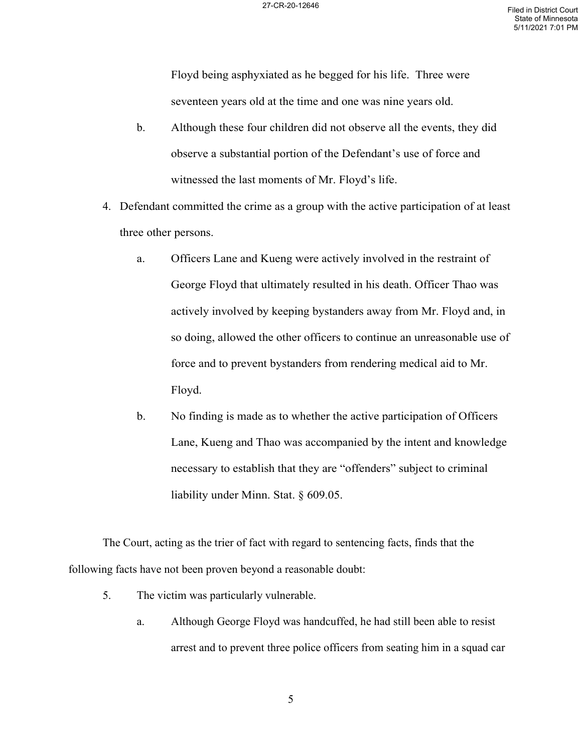Floyd being asphyxiated as he begged for his life. Three were seventeen years old at the time and one was nine years old.

- b. Although these four children did not observe all the events, they did observe a substantial portion of the Defendant's use of force and witnessed the last moments of Mr. Floyd's life.
- 4. Defendant committed the crime as a group with the active participation of at least three other persons.
	- a. Officers Lane and Kueng were actively involved in the restraint of George Floyd that ultimately resulted in his death. Officer Thao was actively involved by keeping bystanders away from Mr. Floyd and, in so doing, allowed the other officers to continue an unreasonable use of force and to prevent bystanders from rendering medical aid to Mr. Floyd.
	- b. No finding is made as to whether the active participation of Officers Lane, Kueng and Thao was accompanied by the intent and knowledge necessary to establish that they are "offenders" subject to criminal liability under Minn. Stat. § 609.05.

The Court, acting as the trier of fact with regard to sentencing facts, finds that the following facts have not been proven beyond a reasonable doubt:

- 5. The victim was particularly vulnerable.
	- a. Although George Floyd was handcuffed, he had still been able to resist arrest and to prevent three police officers from seating him in a squad car